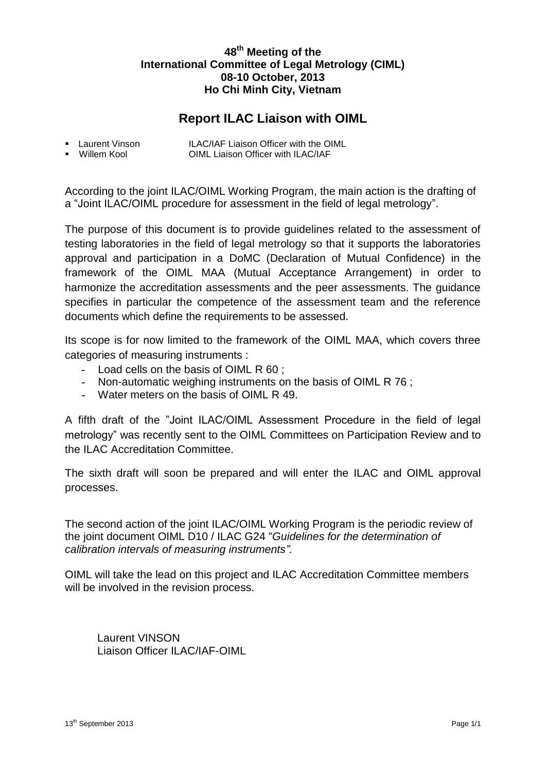# **48th Meeting of the International Committee of Legal Metrology (CIML) 08-10 October, 2013 Ho Chi Minh City, Vietnam**

# **Report ILAC Liaison with OIML**

| ■ Laurent Vinson | ILAC/IAF Liaison Officer with the OIML |
|------------------|----------------------------------------|
| ■ Willem Kool    | OIML Liaison Officer with ILAC/IAF     |

According to the joint ILAC/OIML Working Program, the main action is the drafting of a "Joint ILAC/OIML procedure for assessment in the field of legal metrology".

The purpose of this document is to provide guidelines related to the assessment of testing laboratories in the field of legal metrology so that it supports the laboratories approval and participation in a DoMC (Declaration of Mutual Confidence) in the framework of the OIML MAA (Mutual Acceptance Arrangement) in order to harmonize the accreditation assessments and the peer assessments. The guidance specifies in particular the competence of the assessment team and the reference documents which define the requirements to be assessed.

Its scope is for now limited to the framework of the OIML MAA, which covers three categories of measuring instruments :

- **-** Load cells on the basis of OIML R 60 ;
- **-** Non-automatic weighing instruments on the basis of OIML R 76 ;
- **-** Water meters on the basis of OIML R 49.

A fifth draft of the "Joint ILAC/OIML Assessment Procedure in the field of legal metrology" was recently sent to the OIML Committees on Participation Review and to the ILAC Accreditation Committee.

The sixth draft will soon be prepared and will enter the ILAC and OIML approval processes.

The second action of the joint ILAC/OIML Working Program is the periodic review of the joint document OIML D10 / ILAC G24 "*Guidelines for the determination of calibration intervals of measuring instruments".*

OIML will take the lead on this project and ILAC Accreditation Committee members will be involved in the revision process.

Laurent VINSON Liaison Officer ILAC/IAF-OIML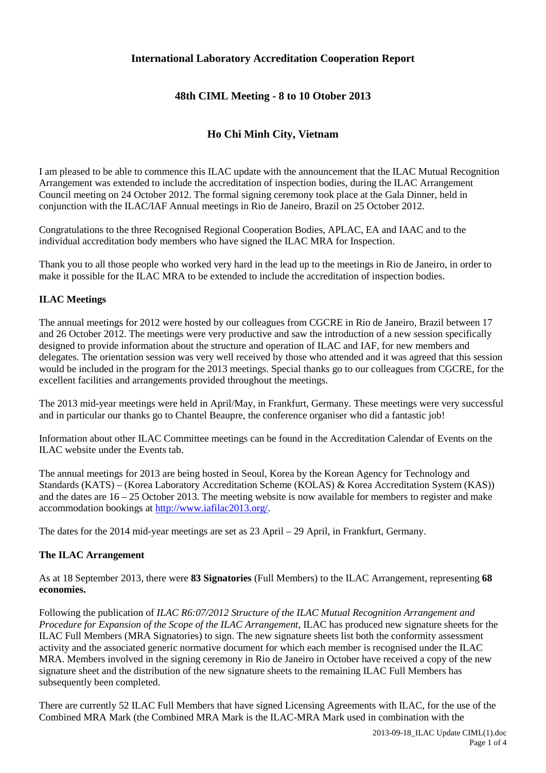# **International Laboratory Accreditation Cooperation Report**

# **48th CIML Meeting - 8 to 10 Otober 2013**

# **Ho Chi Minh City, Vietnam**

I am pleased to be able to commence this ILAC update with the announcement that the ILAC Mutual Recognition Arrangement was extended to include the accreditation of inspection bodies, during the ILAC Arrangement Council meeting on 24 October 2012. The formal signing ceremony took place at the Gala Dinner, held in conjunction with the ILAC/IAF Annual meetings in Rio de Janeiro, Brazil on 25 October 2012.

Congratulations to the three Recognised Regional Cooperation Bodies, APLAC, EA and IAAC and to the individual accreditation body members who have signed the ILAC MRA for Inspection.

Thank you to all those people who worked very hard in the lead up to the meetings in Rio de Janeiro, in order to make it possible for the ILAC MRA to be extended to include the accreditation of inspection bodies.

### **ILAC Meetings**

The annual meetings for 2012 were hosted by our colleagues from CGCRE in Rio de Janeiro, Brazil between 17 and 26 October 2012. The meetings were very productive and saw the introduction of a new session specifically designed to provide information about the structure and operation of ILAC and IAF, for new members and delegates. The orientation session was very well received by those who attended and it was agreed that this session would be included in the program for the 2013 meetings. Special thanks go to our colleagues from CGCRE, for the excellent facilities and arrangements provided throughout the meetings.

The 2013 mid-year meetings were held in April/May, in Frankfurt, Germany. These meetings were very successful and in particular our thanks go to Chantel Beaupre, the conference organiser who did a fantastic job!

Information about other ILAC Committee meetings can be found in the Accreditation Calendar of Events on the ILAC website under the Events tab.

The annual meetings for 2013 are being hosted in Seoul, Korea by the Korean Agency for Technology and Standards (KATS) – (Korea Laboratory Accreditation Scheme (KOLAS) & Korea Accreditation System (KAS)) and the dates are 16 – 25 October 2013. The meeting website is now available for members to register and make accommodation bookings at [http://www.iafilac2013.org/.](http://www.iafilac2013.org/)

The dates for the 2014 mid-year meetings are set as 23 April – 29 April, in Frankfurt, Germany.

#### **The ILAC Arrangement**

As at 18 September 2013, there were **83 Signatories** (Full Members) to the ILAC Arrangement, representing **68 economies.**

Following the publication of *ILAC R6:07/2012 Structure of the ILAC Mutual Recognition Arrangement and Procedure for Expansion of the Scope of the ILAC Arrangement,* ILAC has produced new signature sheets for the ILAC Full Members (MRA Signatories) to sign. The new signature sheets list both the conformity assessment activity and the associated generic normative document for which each member is recognised under the ILAC MRA. Members involved in the signing ceremony in Rio de Janeiro in October have received a copy of the new signature sheet and the distribution of the new signature sheets to the remaining ILAC Full Members has subsequently been completed.

There are currently 52 ILAC Full Members that have signed Licensing Agreements with ILAC, for the use of the Combined MRA Mark (the Combined MRA Mark is the ILAC-MRA Mark used in combination with the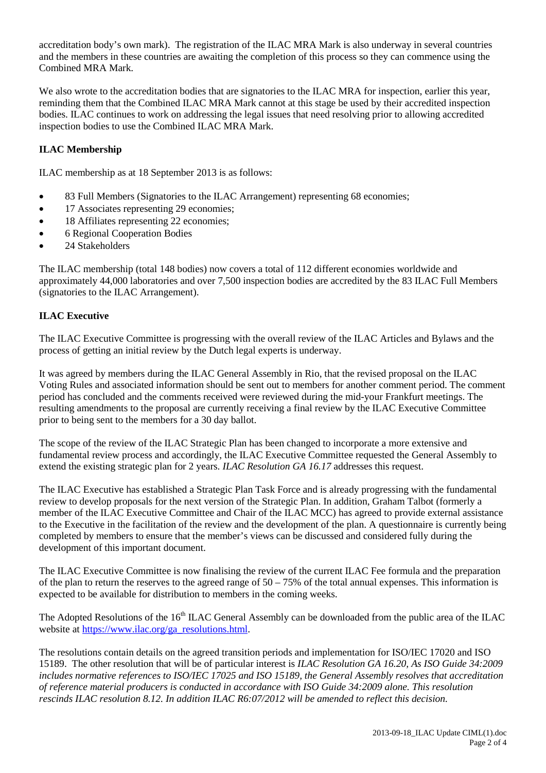accreditation body's own mark). The registration of the ILAC MRA Mark is also underway in several countries and the members in these countries are awaiting the completion of this process so they can commence using the Combined MRA Mark.

We also wrote to the accreditation bodies that are signatories to the ILAC MRA for inspection, earlier this year, reminding them that the Combined ILAC MRA Mark cannot at this stage be used by their accredited inspection bodies. ILAC continues to work on addressing the legal issues that need resolving prior to allowing accredited inspection bodies to use the Combined ILAC MRA Mark.

## **ILAC Membership**

ILAC membership as at 18 September 2013 is as follows:

- 83 Full Members (Signatories to the ILAC Arrangement) representing 68 economies;
- 17 Associates representing 29 economies;
- 18 Affiliates representing 22 economies;
- 6 Regional Cooperation Bodies
- 24 Stakeholders

The ILAC membership (total 148 bodies) now covers a total of 112 different economies worldwide and approximately 44,000 laboratories and over 7,500 inspection bodies are accredited by the 83 ILAC Full Members (signatories to the ILAC Arrangement).

### **ILAC Executive**

The ILAC Executive Committee is progressing with the overall review of the ILAC Articles and Bylaws and the process of getting an initial review by the Dutch legal experts is underway.

It was agreed by members during the ILAC General Assembly in Rio, that the revised proposal on the ILAC Voting Rules and associated information should be sent out to members for another comment period. The comment period has concluded and the comments received were reviewed during the mid-your Frankfurt meetings. The resulting amendments to the proposal are currently receiving a final review by the ILAC Executive Committee prior to being sent to the members for a 30 day ballot.

The scope of the review of the ILAC Strategic Plan has been changed to incorporate a more extensive and fundamental review process and accordingly, the ILAC Executive Committee requested the General Assembly to extend the existing strategic plan for 2 years. *ILAC Resolution GA 16.17* addresses this request.

The ILAC Executive has established a Strategic Plan Task Force and is already progressing with the fundamental review to develop proposals for the next version of the Strategic Plan. In addition, Graham Talbot (formerly a member of the ILAC Executive Committee and Chair of the ILAC MCC) has agreed to provide external assistance to the Executive in the facilitation of the review and the development of the plan. A questionnaire is currently being completed by members to ensure that the member's views can be discussed and considered fully during the development of this important document.

The ILAC Executive Committee is now finalising the review of the current ILAC Fee formula and the preparation of the plan to return the reserves to the agreed range of  $50 - 75\%$  of the total annual expenses. This information is expected to be available for distribution to members in the coming weeks.

The Adopted Resolutions of the 16<sup>th</sup> ILAC General Assembly can be downloaded from the public area of the ILAC website at [https://www.ilac.org/ga\\_resolutions.html.](https://www.ilac.org/ga_resolutions.html)

The resolutions contain details on the agreed transition periods and implementation for ISO/IEC 17020 and ISO 15189. The other resolution that will be of particular interest is *ILAC Resolution GA 16.20, As ISO Guide 34:2009 includes normative references to ISO/IEC 17025 and ISO 15189, the General Assembly resolves that accreditation of reference material producers is conducted in accordance with ISO Guide 34:2009 alone. This resolution rescinds ILAC resolution 8.12. In addition ILAC R6:07/2012 will be amended to reflect this decision.*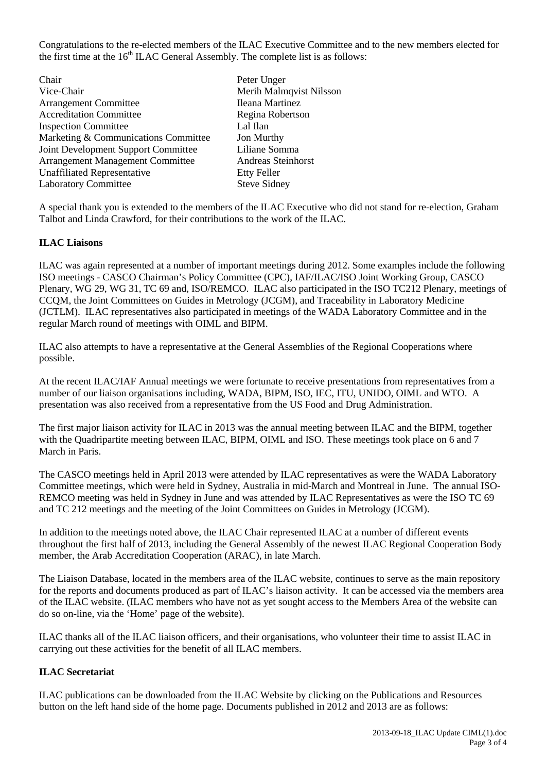Congratulations to the re-elected members of the ILAC Executive Committee and to the new members elected for the first time at the  $16<sup>th</sup> ILAC$  General Assembly. The complete list is as follows:

- Chair Peter Unger<br>
Vice-Chair Peter Unger<br>
Merih Malm Arrangement Committee Accreditation Committee Regina Robertson Inspection Committee Lal IIan<br>Marketing & Communications Committee Jon Murthy Marketing & Communications Committee Joint Development Support Committee Liliane Somma Arrangement Management Committee Unaffiliated Representative Etty Feller Laboratory Committee Steve Sidney
	- Merih Malmqvist Nilsson<br>Ileana Martinez

A special thank you is extended to the members of the ILAC Executive who did not stand for re-election, Graham Talbot and Linda Crawford, for their contributions to the work of the ILAC.

### **ILAC Liaisons**

ILAC was again represented at a number of important meetings during 2012. Some examples include the following ISO meetings - CASCO Chairman's Policy Committee (CPC), IAF/ILAC/ISO Joint Working Group, CASCO Plenary, WG 29, WG 31, TC 69 and, ISO/REMCO. ILAC also participated in the ISO TC212 Plenary, meetings of CCQM, the Joint Committees on Guides in Metrology (JCGM), and Traceability in Laboratory Medicine (JCTLM). ILAC representatives also participated in meetings of the WADA Laboratory Committee and in the regular March round of meetings with OIML and BIPM.

ILAC also attempts to have a representative at the General Assemblies of the Regional Cooperations where possible.

At the recent ILAC/IAF Annual meetings we were fortunate to receive presentations from representatives from a number of our liaison organisations including, WADA, BIPM, ISO, IEC, ITU, UNIDO, OIML and WTO. A presentation was also received from a representative from the US Food and Drug Administration.

The first major liaison activity for ILAC in 2013 was the annual meeting between ILAC and the BIPM, together with the Quadripartite meeting between ILAC, BIPM, OIML and ISO. These meetings took place on 6 and 7 March in Paris.

The CASCO meetings held in April 2013 were attended by ILAC representatives as were the WADA Laboratory Committee meetings, which were held in Sydney, Australia in mid-March and Montreal in June. The annual ISO-REMCO meeting was held in Sydney in June and was attended by ILAC Representatives as were the ISO TC 69 and TC 212 meetings and the meeting of the Joint Committees on Guides in Metrology (JCGM).

In addition to the meetings noted above, the ILAC Chair represented ILAC at a number of different events throughout the first half of 2013, including the General Assembly of the newest ILAC Regional Cooperation Body member, the Arab Accreditation Cooperation (ARAC), in late March.

The Liaison Database, located in the members area of the ILAC website, continues to serve as the main repository for the reports and documents produced as part of ILAC's liaison activity. It can be accessed via the members area of the ILAC website. (ILAC members who have not as yet sought access to the Members Area of the website can do so on-line, via the 'Home' page of the website).

ILAC thanks all of the ILAC liaison officers, and their organisations, who volunteer their time to assist ILAC in carrying out these activities for the benefit of all ILAC members.

### **ILAC Secretariat**

ILAC publications can be downloaded from the ILAC Website by clicking on the Publications and Resources button on the left hand side of the home page. Documents published in 2012 and 2013 are as follows: